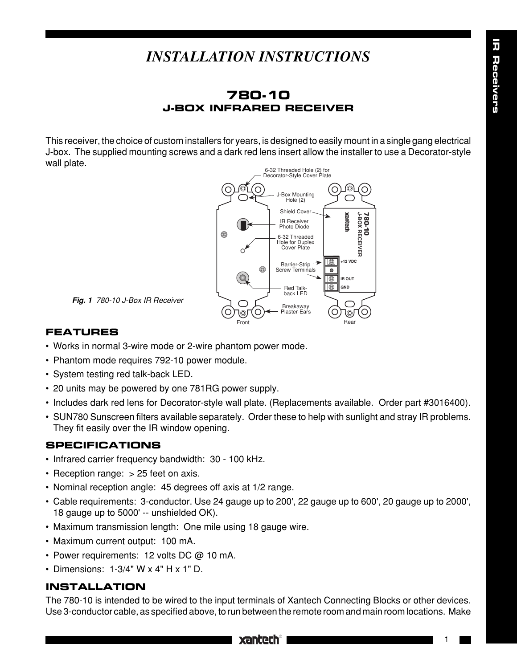# *INSTALLATION INSTRUCTIONS*

# **780-10 J-BOX INFRARED RECEIVER**

This receiver, the choice of custom installers for years, is designed to easily mount in a single gang electrical J-box. The supplied mounting screws and a dark red lens insert allow the installer to use a Decorator-style wall plate.



**Fig. 1** 780-10 J-Box IR Receiver

### **FEATURES**

- Works in normal 3-wire mode or 2-wire phantom power mode.
- Phantom mode requires 792-10 power module.
- System testing red talk-back LED.
- 20 units may be powered by one 781RG power supply.
- Includes dark red lens for Decorator-style wall plate. (Replacements available. Order part #3016400).
- SUN780 Sunscreen filters available separately. Order these to help with sunlight and stray IR problems. They fit easily over the IR window opening.

#### **SPECIFICATIONS**

- Infrared carrier frequency bandwidth: 30 100 kHz.
- Reception range: > 25 feet on axis.
- Nominal reception angle: 45 degrees off axis at 1/2 range.
- Cable requirements: 3-conductor. Use 24 gauge up to 200', 22 gauge up to 600', 20 gauge up to 2000', 18 gauge up to 5000' -- unshielded OK).
- Maximum transmission length: One mile using 18 gauge wire.
- Maximum current output: 100 mA.
- Power requirements: 12 volts DC @ 10 mA.
- Dimensions: 1-3/4" W x 4" H x 1" D.

# **INSTALLATION**

The 780-10 is intended to be wired to the input terminals of Xantech Connecting Blocks or other devices. Use 3-conductor cable, as specified above, to run between the remote room and main room locations. Make

# **xantech®**

1